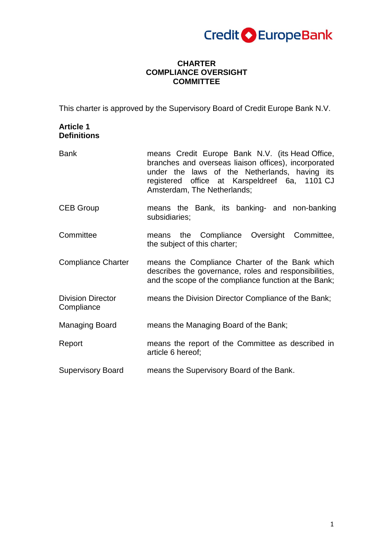

### **CHARTER COMPLIANCE OVERSIGHT COMMITTEE**

This charter is approved by the Supervisory Board of Credit Europe Bank N.V.

# **Article 1 Definitions**

| <b>Bank</b>                            | means Credit Europe Bank N.V. (its Head Office,<br>branches and overseas liaison offices), incorporated<br>under the laws of the Netherlands, having its<br>registered office at Karspeldreef 6a, 1101 CJ<br>Amsterdam, The Netherlands; |
|----------------------------------------|------------------------------------------------------------------------------------------------------------------------------------------------------------------------------------------------------------------------------------------|
| <b>CEB Group</b>                       | means the Bank, its banking- and non-banking<br>subsidiaries;                                                                                                                                                                            |
| Committee                              | means the Compliance Oversight Committee,<br>the subject of this charter;                                                                                                                                                                |
| <b>Compliance Charter</b>              | means the Compliance Charter of the Bank which<br>describes the governance, roles and responsibilities,<br>and the scope of the compliance function at the Bank;                                                                         |
| <b>Division Director</b><br>Compliance | means the Division Director Compliance of the Bank;                                                                                                                                                                                      |
| Managing Board                         | means the Managing Board of the Bank;                                                                                                                                                                                                    |
| Report                                 | means the report of the Committee as described in<br>article 6 hereof;                                                                                                                                                                   |
| <b>Supervisory Board</b>               | means the Supervisory Board of the Bank.                                                                                                                                                                                                 |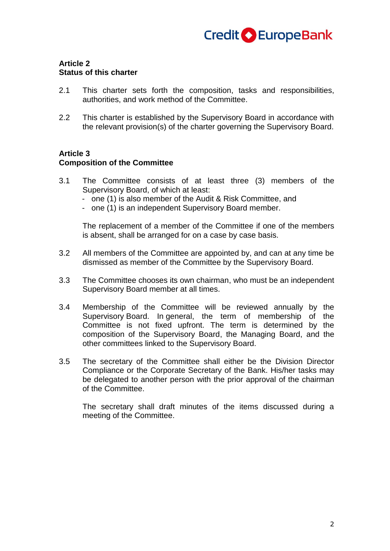

### **Article 2 Status of this charter**

- 2.1 This charter sets forth the composition, tasks and responsibilities, authorities, and work method of the Committee.
- 2.2 This charter is established by the Supervisory Board in accordance with the relevant provision(s) of the charter governing the Supervisory Board.

#### **Article 3**

#### **Composition of the Committee**

- 3.1 The Committee consists of at least three (3) members of the Supervisory Board, of which at least:
	- one (1) is also member of the Audit & Risk Committee, and
	- one (1) is an independent Supervisory Board member.

The replacement of a member of the Committee if one of the members is absent, shall be arranged for on a case by case basis.

- 3.2 All members of the Committee are appointed by, and can at any time be dismissed as member of the Committee by the Supervisory Board.
- 3.3 The Committee chooses its own chairman, who must be an independent Supervisory Board member at all times.
- 3.4 Membership of the Committee will be reviewed annually by the Supervisory Board. In general, the term of membership of the Committee is not fixed upfront. The term is determined by the composition of the Supervisory Board, the Managing Board, and the other committees linked to the Supervisory Board.
- 3.5 The secretary of the Committee shall either be the Division Director Compliance or the Corporate Secretary of the Bank. His/her tasks may be delegated to another person with the prior approval of the chairman of the Committee.

The secretary shall draft minutes of the items discussed during a meeting of the Committee.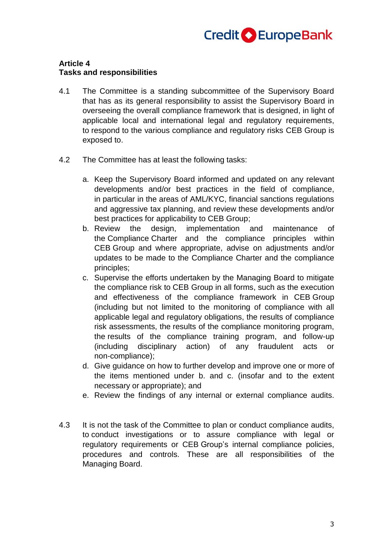

#### **Article 4 Tasks and responsibilities**

- 4.1 The Committee is a standing subcommittee of the Supervisory Board that has as its general responsibility to assist the Supervisory Board in overseeing the overall compliance framework that is designed, in light of applicable local and international legal and regulatory requirements, to respond to the various compliance and regulatory risks CEB Group is exposed to.
- 4.2 The Committee has at least the following tasks:
	- a. Keep the Supervisory Board informed and updated on any relevant developments and/or best practices in the field of compliance, in particular in the areas of AML/KYC, financial sanctions regulations and aggressive tax planning, and review these developments and/or best practices for applicability to CEB Group;
	- b. Review the design, implementation and maintenance of the Compliance Charter and the compliance principles within CEB Group and where appropriate, advise on adjustments and/or updates to be made to the Compliance Charter and the compliance principles;
	- c. Supervise the efforts undertaken by the Managing Board to mitigate the compliance risk to CEB Group in all forms, such as the execution and effectiveness of the compliance framework in CEB Group (including but not limited to the monitoring of compliance with all applicable legal and regulatory obligations, the results of compliance risk assessments, the results of the compliance monitoring program, the results of the compliance training program, and follow-up (including disciplinary action) of any fraudulent acts or non-compliance);
	- d. Give guidance on how to further develop and improve one or more of the items mentioned under b. and c. (insofar and to the extent necessary or appropriate); and
	- e. Review the findings of any internal or external compliance audits.
- 4.3 It is not the task of the Committee to plan or conduct compliance audits, to conduct investigations or to assure compliance with legal or regulatory requirements or CEB Group's internal compliance policies, procedures and controls. These are all responsibilities of the Managing Board.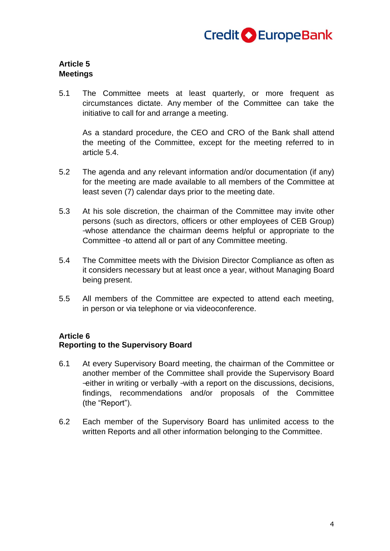

## **Article 5 Meetings**

5.1 The Committee meets at least quarterly, or more frequent as circumstances dictate. Any member of the Committee can take the initiative to call for and arrange a meeting.

As a standard procedure, the CEO and CRO of the Bank shall attend the meeting of the Committee, except for the meeting referred to in article 5.4.

- 5.2 The agenda and any relevant information and/or documentation (if any) for the meeting are made available to all members of the Committee at least seven (7) calendar days prior to the meeting date.
- 5.3 At his sole discretion, the chairman of the Committee may invite other persons (such as directors, officers or other employees of CEB Group) ᅳwhose attendance the chairman deems helpful or appropriate to the Committee -to attend all or part of any Committee meeting.
- 5.4 The Committee meets with the Division Director Compliance as often as it considers necessary but at least once a year, without Managing Board being present.
- 5.5 All members of the Committee are expected to attend each meeting, in person or via telephone or via videoconference.

## **Article 6**

### **Reporting to the Supervisory Board**

- 6.1 At every Supervisory Board meeting, the chairman of the Committee or another member of the Committee shall provide the Supervisory Board -either in writing or verbally -with a report on the discussions, decisions, findings, recommendations and/or proposals of the Committee (the "Report").
- 6.2 Each member of the Supervisory Board has unlimited access to the written Reports and all other information belonging to the Committee.